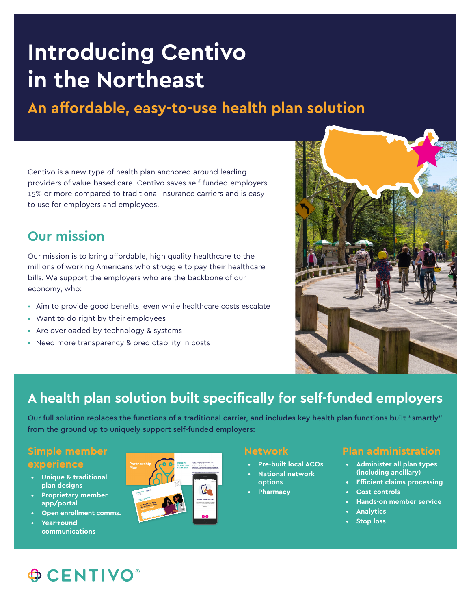# **Introducing Centivo in the Northeast**

**An affordable, easy-to-use health plan solution**

Centivo is a new type of health plan anchored around leading providers of value-based care. Centivo saves self-funded employers 15% or more compared to traditional insurance carriers and is easy to use for employers and employees.

### **Our mission**

Our mission is to bring affordable, high quality healthcare to the millions of working Americans who struggle to pay their healthcare bills. We support the employers who are the backbone of our economy, who:

- Aim to provide good benefits, even while healthcare costs escalate
- Want to do right by their employees
- Are overloaded by technology & systems
- Need more transparency & predictability in costs



## **A health plan solution built specifically for self-funded employers**

Our full solution replaces the functions of a traditional carrier, and includes key health plan functions built "smartly" from the ground up to uniquely support self-funded employers:

#### **Simple member experience**

- **Unique & traditional plan designs**
- **Proprietary member app/portal**
- **Open enrollment comms.**
- **Year-round communications**



#### **Network**

- **Pre-built local ACOs**
- **National network options**
- **Pharmacy**

### **Plan administration**

- **Administer all plan types (including ancillary)**
- **Efficient claims processing**
- **Cost controls**
- **Hands-on member service**
- **Analytics**
- **Stop loss**

# **OCENTIVO**